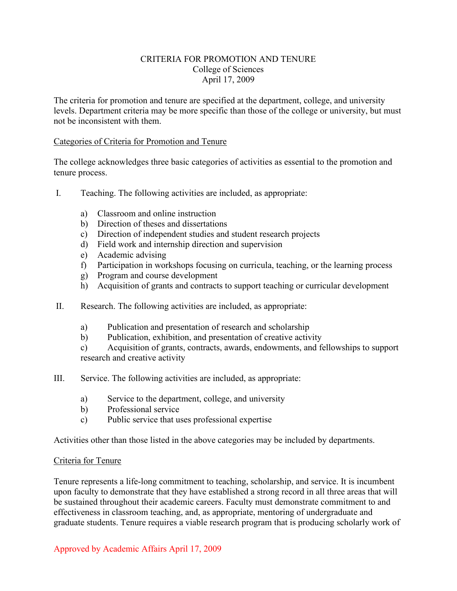## CRITERIA FOR PROMOTION AND TENURE College of Sciences April 17, 2009

The criteria for promotion and tenure are specified at the department, college, and university levels. Department criteria may be more specific than those of the college or university, but must not be inconsistent with them.

### Categories of Criteria for Promotion and Tenure

The college acknowledges three basic categories of activities as essential to the promotion and tenure process.

- I. Teaching. The following activities are included, as appropriate:
	- a) Classroom and online instruction
	- b) Direction of theses and dissertations
	- c) Direction of independent studies and student research projects
	- d) Field work and internship direction and supervision
	- e) Academic advising
	- f) Participation in workshops focusing on curricula, teaching, or the learning process
	- g) Program and course development
	- h) Acquisition of grants and contracts to support teaching or curricular development
- II. Research. The following activities are included, as appropriate:
	- a) Publication and presentation of research and scholarship
	- b) Publication, exhibition, and presentation of creative activity

c) Acquisition of grants, contracts, awards, endowments, and fellowships to support research and creative activity

- III. Service. The following activities are included, as appropriate:
	- a) Service to the department, college, and university
	- b) Professional service
	- c) Public service that uses professional expertise

Activities other than those listed in the above categories may be included by departments.

#### Criteria for Tenure

Tenure represents a life-long commitment to teaching, scholarship, and service. It is incumbent upon faculty to demonstrate that they have established a strong record in all three areas that will be sustained throughout their academic careers. Faculty must demonstrate commitment to and effectiveness in classroom teaching, and, as appropriate, mentoring of undergraduate and graduate students. Tenure requires a viable research program that is producing scholarly work of